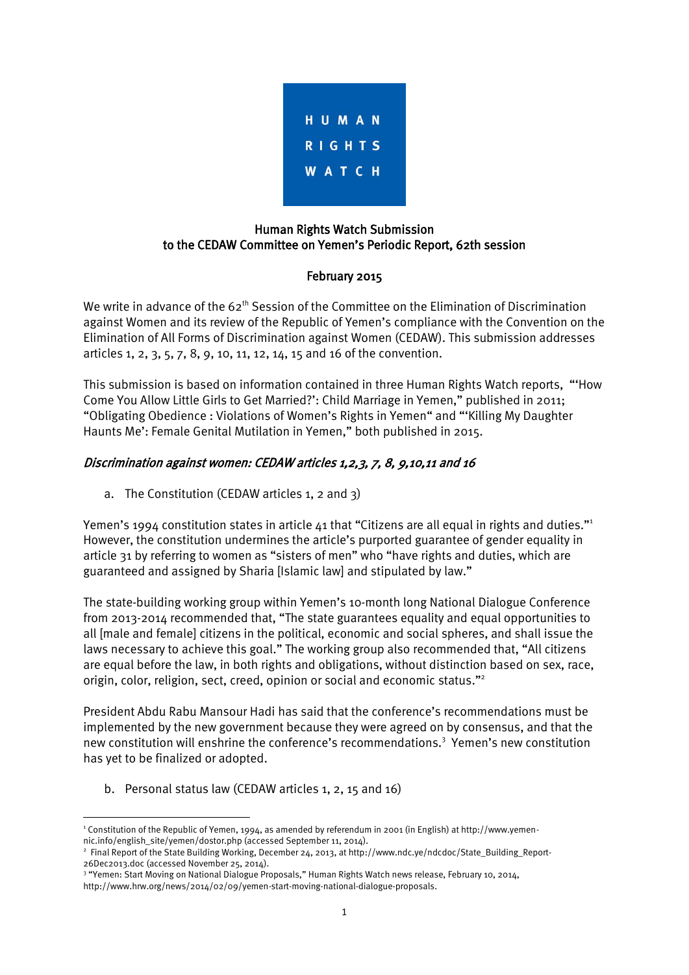

# Human Rights Watch Submission to the CEDAW Committee on Yemen's Periodic Report, 62th session

### February 2015

We write in advance of the  $62<sup>th</sup>$  Session of the Committee on the Elimination of Discrimination against Women and its review of the Republic of Yemen's compliance with the Convention on the Elimination of All Forms of Discrimination against Women (CEDAW). This submission addresses articles 1, 2, 3, 5, 7, 8, 9, 10, 11, 12, 14, 15 and 16 of the convention.

This submission is based on information contained in three Human Rights Watch reports, "'How Come You Allow Little Girls to Get Married?': Child Marriage in Yemen," published in 2011; "Obligating Obedience : Violations of Women's Rights in Yemen" and "'Killing My Daughter Haunts Me': Female Genital Mutilation in Yemen," both published in 2015.

# Discrimination against women: CEDAW articles 1,2,3, 7, 8, 9,10,11 and 16

a. The Constitution (CEDAW articles 1, 2 and 3)

Yemen's 1994 constitution states in article 41 that "Citizens are all equal in rights and duties."<sup>1</sup> However, the constitution undermines the article's purported guarantee of gender equality in article 31 by referring to women as "sisters of men" who "have rights and duties, which are guaranteed and assigned by Sharia [Islamic law] and stipulated by law."

The state-building working group within Yemen's 10-month long National Dialogue Conference from 2013-2014 recommended that, "The state guarantees equality and equal opportunities to all [male and female] citizens in the political, economic and social spheres, and shall issue the laws necessary to achieve this goal." The working group also recommended that, "All citizens are equal before the law, in both rights and obligations, without distinction based on sex, race, origin, color, religion, sect, creed, opinion or social and economic status."<sup>2</sup>

President Abdu Rabu Mansour Hadi has said that the conference's recommendations must be implemented by the new government because they were agreed on by consensus, and that the new constitution will enshrine the conference's recommendations.<sup>3</sup> Yemen's new constitution has yet to be finalized or adopted.

b. Personal status law (CEDAW articles 1, 2, 15 and 16)

<sup>1</sup> <sup>1</sup> Constitution of the Republic of Yemen, 1994, as amended by referendum in 2001 (in English) at http://www.yemennic.info/english\_site/yemen/dostor.php (accessed September 11, 2014).

<sup>2</sup> Final Report of the State Building Working, December 24, 2013, at http://www.ndc.ye/ndcdoc/State\_Building\_Report-26Dec2013.doc (accessed November 25, 2014).

<sup>3</sup> "Yemen: Start Moving on National Dialogue Proposals," Human Rights Watch news release, February 10, 2014,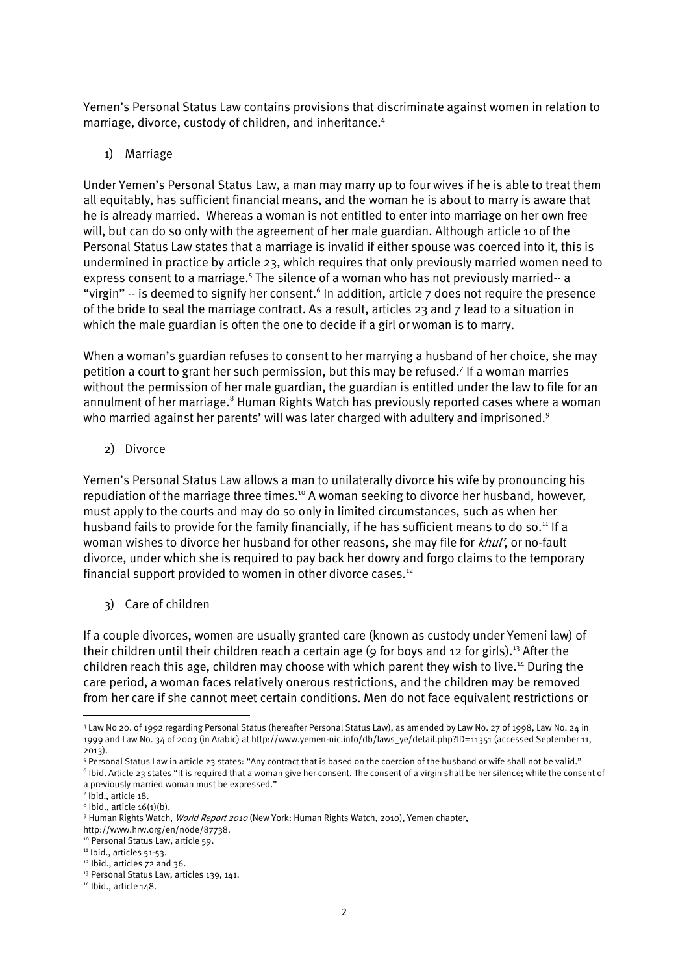Yemen's Personal Status Law contains provisions that discriminate against women in relation to marriage, divorce, custody of children, and inheritance.<sup>4</sup>

#### 1) Marriage

Under Yemen's Personal Status Law, a man may marry up to four wives if he is able to treat them all equitably, has sufficient financial means, and the woman he is about to marry is aware that he is already married. Whereas a woman is not entitled to enter into marriage on her own free will, but can do so only with the agreement of her male guardian. Although article 10 of the Personal Status Law states that a marriage is invalid if either spouse was coerced into it, this is undermined in practice by article 23, which requires that only previously married women need to express consent to a marriage.<sup>5</sup> The silence of a woman who has not previously married-- a "virgin" -- is deemed to signify her consent.<sup>6</sup> In addition, article 7 does not require the presence of the bride to seal the marriage contract. As a result, articles 23 and 7 lead to a situation in which the male guardian is often the one to decide if a girl or woman is to marry.

When a woman's guardian refuses to consent to her marrying a husband of her choice, she may petition a court to grant her such permission, but this may be refused.<sup>7</sup> If a woman marries without the permission of her male guardian, the guardian is entitled under the law to file for an annulment of her marriage.<sup>8</sup> Human Rights Watch has previously reported cases where a woman who married against her parents' will was later charged with adultery and imprisoned.<sup>9</sup>

2) Divorce

Yemen's Personal Status Law allows a man to unilaterally divorce his wife by pronouncing his repudiation of the marriage three times.<sup>10</sup> A woman seeking to divorce her husband, however, must apply to the courts and may do so only in limited circumstances, such as when her husband fails to provide for the family financially, if he has sufficient means to do so.<sup>11</sup> If a woman wishes to divorce her husband for other reasons, she may file for *khul*', or no-fault divorce, under which she is required to pay back her dowry and forgo claims to the temporary financial support provided to women in other divorce cases.<sup>12</sup>

3) Care of children

If a couple divorces, women are usually granted care (known as custody under Yemeni law) of their children until their children reach a certain age (9 for boys and 12 for girls).<sup>13</sup> After the children reach this age, children may choose with which parent they wish to live.<sup>14</sup> During the care period, a woman faces relatively onerous restrictions, and the children may be removed from her care if she cannot meet certain conditions. Men do not face equivalent restrictions or

 $\overline{a}$ 

<sup>4</sup> Law No 20. of 1992 regarding Personal Status (hereafter Personal Status Law), as amended by Law No. 27 of 1998, Law No. 24 in 1999 and Law No. 34 of 2003 (in Arabic) at http://www.yemen-nic.info/db/laws\_ye/detail.php?ID=11351 (accessed September 11, 2013).

<sup>5</sup> Personal Status Law in article 23 states: "Any contract that is based on the coercion of the husband or wife shall not be valid." 6 Ibid. Article 23 states "It is required that a woman give her consent. The consent of a virgin shall be her silence; while the consent of

a previously married woman must be expressed."

<sup>7</sup> Ibid., article 18.

 $8$  lbid., article  $16(1)(b)$ .

<sup>9</sup> Human Rights Watch, World Report 2010 (New York: Human Rights Watch, 2010), Yemen chapter,

http://www.hrw.org/en/node/87738.

<sup>&</sup>lt;sup>10</sup> Personal Status Law, article 59.

<sup>&</sup>lt;sup>11</sup> Ibid., articles 51-53.

<sup>&</sup>lt;sup>12</sup> Ibid., articles 72 and 36.

<sup>13</sup> Personal Status Law, articles 139, 141.

<sup>&</sup>lt;sup>14</sup> Ibid., article 148.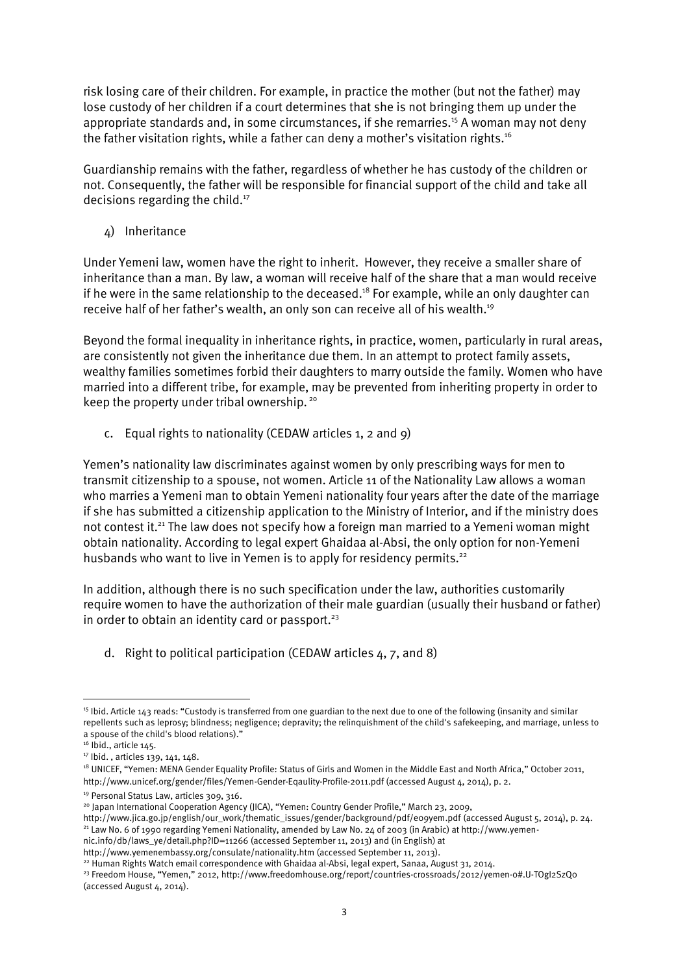risk losing care of their children. For example, in practice the mother (but not the father) may lose custody of her children if a court determines that she is not bringing them up under the appropriate standards and, in some circumstances, if she remarries.<sup>15</sup> A woman may not deny the father visitation rights, while a father can deny a mother's visitation rights.<sup>16</sup>

Guardianship remains with the father, regardless of whether he has custody of the children or not. Consequently, the father will be responsible for financial support of the child and take all decisions regarding the child.<sup>17</sup>

4) Inheritance

Under Yemeni law, women have the right to inherit. However, they receive a smaller share of inheritance than a man. By law, a woman will receive half of the share that a man would receive if he were in the same relationship to the deceased.<sup>18</sup> For example, while an only daughter can receive half of her father's wealth, an only son can receive all of his wealth.<sup>19</sup>

Beyond the formal inequality in inheritance rights, in practice, women, particularly in rural areas, are consistently not given the inheritance due them. In an attempt to protect family assets, wealthy families sometimes forbid their daughters to marry outside the family. Women who have married into a different tribe, for example, may be prevented from inheriting property in order to keep the property under tribal ownership.<sup>20</sup>

c. Equal rights to nationality (CEDAW articles 1, 2 and 9)

Yemen's nationality law discriminates against women by only prescribing ways for men to transmit citizenship to a spouse, not women. Article 11 of the Nationality Law allows a woman who marries a Yemeni man to obtain Yemeni nationality four years after the date of the marriage if she has submitted a citizenship application to the Ministry of Interior, and if the ministry does not contest it.<sup>21</sup> The law does not specify how a foreign man married to a Yemeni woman might obtain nationality. According to legal expert Ghaidaa al-Absi, the only option for non-Yemeni husbands who want to live in Yemen is to apply for residency permits.<sup>22</sup>

In addition, although there is no such specification under the law, authorities customarily require women to have the authorization of their male guardian (usually their husband or father) in order to obtain an identity card or passport.<sup>23</sup>

d. Right to political participation (CEDAW articles 4, 7, and 8)

<sup>1</sup> <sup>15</sup> Ibid. Article 143 reads: "Custody is transferred from one guardian to the next due to one of the following (insanity and similar repellents such as leprosy; blindness; negligence; depravity; the relinquishment of the child's safekeeping, and marriage, unless to a spouse of the child's blood relations)."

<sup>&</sup>lt;sup>16</sup> Ibid., article 145.

<sup>17</sup> Ibid. , articles 139, 141, 148.

<sup>&</sup>lt;sup>18</sup> UNICEF, "Yemen: MENA Gender Equality Profile: Status of Girls and Women in the Middle East and North Africa," October 2011, http://www.unicef.org/gender/files/Yemen-Gender-Eqaulity-Profile-2011.pdf (accessed August 4, 2014), p. 2.

<sup>&</sup>lt;sup>19</sup> Personal Status Law, articles 309, 316.

<sup>20</sup> Japan International Cooperation Agency (JICA), "Yemen: Country Gender Profile," March 23, 2009,

http://www.jica.go.jp/english/our\_work/thematic\_issues/gender/background/pdf/e09yem.pdf (accessed August 5, 2014), p. 24. <sup>21</sup> Law No. 6 of 1990 regarding Yemeni Nationality, amended by Law No. 24 of 2003 (in Arabic) at http://www.yemennic.info/db/laws\_ye/detail.php?ID=11266 (accessed September 11, 2013) and (in English) at

http://www.yemenembassy.org/consulate/nationality.htm (accessed September 11, 2013).

<sup>&</sup>lt;sup>22</sup> Human Rights Watch email correspondence with Ghaidaa al-Absi, legal expert, Sanaa, August 31, 2014.

<sup>&</sup>lt;sup>23</sup> Freedom House, "Yemen," 2012, http://www.freedomhouse.org/report/countries-crossroads/2012/yemen-0#.U-TOgI2SzQo (accessed August 4, 2014).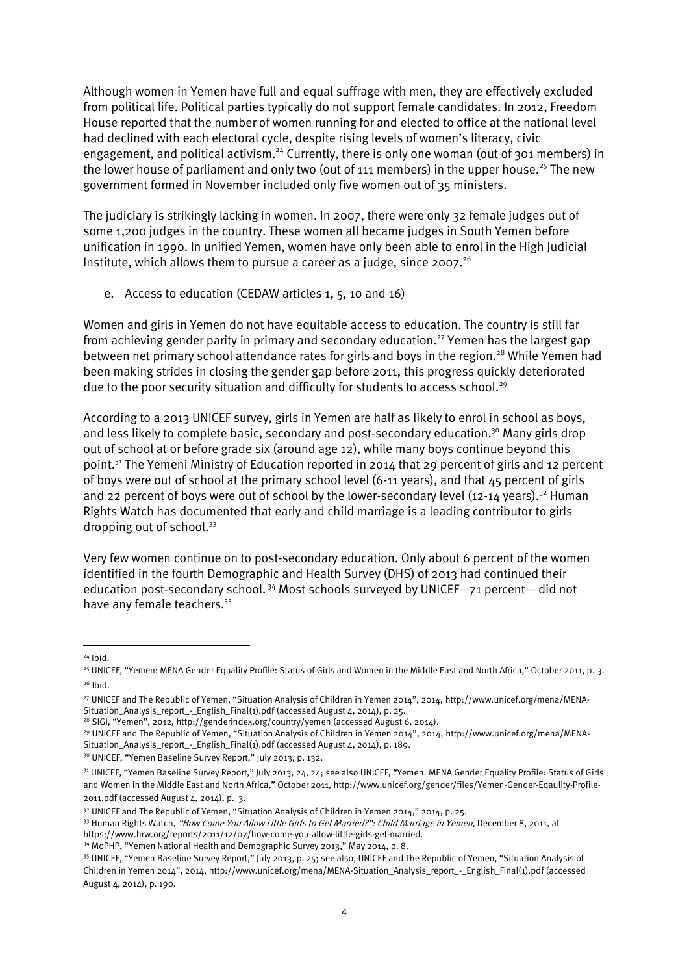Although women in Yemen have full and equal suffrage with men, they are effectively excluded from political life. Political parties typically do not support female candidates. In 2012, Freedom House reported that the number of women running for and elected to office at the national level had declined with each electoral cycle, despite rising levels of women's literacy, civic engagement, and political activism.<sup>24</sup> Currently, there is only one woman (out of 301 members) in the lower house of parliament and only two (out of 111 members) in the upper house.<sup>25</sup> The new government formed in November included only five women out of 35 ministers.

The judiciary is strikingly lacking in women. In 2007, there were only 32 female judges out of some 1,200 judges in the country. These women all became judges in South Yemen before unification in 1990. In unified Yemen, women have only been able to enrol in the High Judicial Institute, which allows them to pursue a career as a judge, since 2007. $^{26}$ 

e. Access to education (CEDAW articles 1, 5, 10 and 16)

Women and girls in Yemen do not have equitable access to education. The country is still far from achieving gender parity in primary and secondary education.<sup>27</sup> Yemen has the largest gap between net primary school attendance rates for girls and boys in the region.<sup>28</sup> While Yemen had been making strides in closing the gender gap before 2011, this progress quickly deteriorated due to the poor security situation and difficulty for students to access school.<sup>29</sup>

According to a 2013 UNICEF survey, girls in Yemen are half as likely to enrol in school as boys, and less likely to complete basic, secondary and post-secondary education.<sup>30</sup> Many girls drop out of school at or before grade six (around age 12), while many boys continue beyond this point.<sup>31</sup> The Yemeni Ministry of Education reported in 2014 that 29 percent of girls and 12 percent of boys were out of school at the primary school level (6-11 years), and that 45 percent of girls and 22 percent of boys were out of school by the lower-secondary level (12-14 years).<sup>32</sup> Human Rights Watch has documented that early and child marriage is a leading contributor to girls dropping out of school.<sup>33</sup>

Very few women continue on to post-secondary education. Only about 6 percent of the women identified in the fourth Demographic and Health Survey (DHS) of 2013 had continued their education post-secondary school.<sup>34</sup> Most schools surveyed by UNICEF- $\frac{71}{2}$  percent- did not have any female teachers.<sup>35</sup>

<sup>24</sup> Ibid.

<sup>25</sup> UNICEF, "Yemen: MENA Gender Equality Profile: Status of Girls and Women in the Middle East and North Africa," October 2011, p. 3.  $26$  Ibid.

<sup>27</sup> UNICEF and The Republic of Yemen, "Situation Analysis of Children in Yemen 2014", 2014, [http://www.unicef.org/mena/MENA-](http://www.unicef.org/mena/MENA-Situation_Analysis_report_-_English_Final(1).pdf)[Situation\\_Analysis\\_report\\_-\\_English\\_Final\(1\).pdf](http://www.unicef.org/mena/MENA-Situation_Analysis_report_-_English_Final(1).pdf) (accessed August 4, 2014), p. 25.

<sup>&</sup>lt;sup>28</sup> SIGI, "Yemen", 2012, <http://genderindex.org/country/yemen> (accessed August 6, 2014).

<sup>&</sup>lt;sup>29</sup> UNICEF and The Republic of Yemen, "Situation Analysis of Children in Yemen 2014", 2014, [http://www.unicef.org/mena/MENA-](http://www.unicef.org/mena/MENA-Situation_Analysis_report_-_English_Final(1).pdf)[Situation\\_Analysis\\_report\\_-\\_English\\_Final\(1\).pdf](http://www.unicef.org/mena/MENA-Situation_Analysis_report_-_English_Final(1).pdf) (accessed August 4, 2014), p. 189.

<sup>&</sup>lt;sup>30</sup> UNICEF, "Yemen Baseline Survey Report," July 2013, p. 132.

<sup>31</sup> UNICEF, "Yemen Baseline Survey Report," July 2013, 24, 24; see also UNICEF, "Yemen: MENA Gender Equality Profile: Status of Girls and Women in the Middle East and North Africa," October 2011, http://www.unicef.org/gender/files/Yemen-Gender-Eqaulity-Profile-2011.pdf (accessed August 4, 2014), p. 3.

<sup>&</sup>lt;sup>32</sup> UNICEF and The Republic of Yemen, "Situation Analysis of Children in Yemen 2014," 2014, p. 25.

<sup>33</sup> Human Rights Watch, "How Come You Allow Little Girls to Get Married?": Child Marriage in Yemen, December 8, 2011, at https://www.hrw.org/reports/2011/12/07/how-come-you-allow-little-girls-get-married.

<sup>34</sup> MoPHP, "Yemen National Health and Demographic Survey 2013," May 2014, p. 8.

<sup>35</sup> UNICEF, "Yemen Baseline Survey Report," July 2013, p. 25; see also, UNICEF and The Republic of Yemen, "Situation Analysis of Children in Yemen 2014", 2014, http://www.unicef.org/mena/MENA-Situation\_Analysis\_report\_-\_English\_Final(1).pdf (accessed August 4, 2014), p. 190.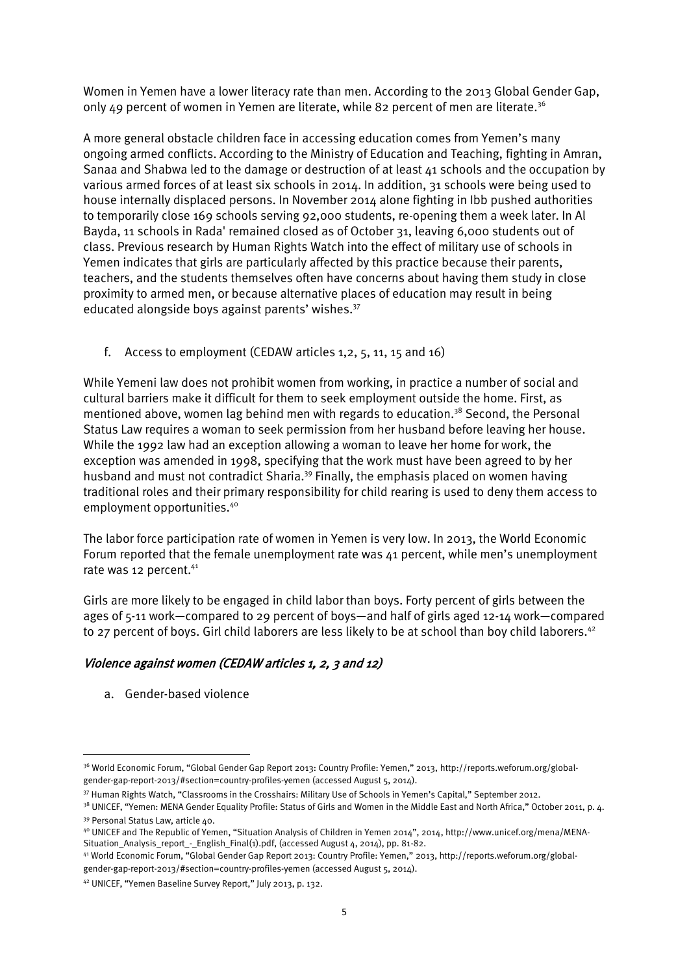Women in Yemen have a lower literacy rate than men. According to the 2013 Global Gender Gap, only 49 percent of women in Yemen are literate, while 82 percent of men are literate.<sup>36</sup>

A more general obstacle children face in accessing education comes from Yemen's many ongoing armed conflicts. According to the Ministry of Education and Teaching, fighting in Amran, Sanaa and Shabwa led to the damage or destruction of at least 41 schools and the occupation by various armed forces of at least six schools in 2014. In addition, 31 schools were being used to house internally displaced persons. In November 2014 alone fighting in Ibb pushed authorities to temporarily close 169 schools serving 92,000 students, re-opening them a week later. In Al Bayda, 11 schools in Rada' remained closed as of October 31, leaving 6,000 students out of class. Previous research by Human Rights Watch into the effect of military use of schools in Yemen indicates that girls are particularly affected by this practice because their parents, teachers, and the students themselves often have concerns about having them study in close proximity to armed men, or because alternative places of education may result in being educated alongside boys against parents' wishes.<sup>37</sup>

f. Access to employment (CEDAW articles 1,2, 5, 11, 15 and 16)

While Yemeni law does not prohibit women from working, in practice a number of social and cultural barriers make it difficult for them to seek employment outside the home. First, as mentioned above, women lag behind men with regards to education.<sup>38</sup> Second, the Personal Status Law requires a woman to seek permission from her husband before leaving her house. While the 1992 law had an exception allowing a woman to leave her home for work, the exception was amended in 1998, specifying that the work must have been agreed to by her husband and must not contradict Sharia.<sup>39</sup> Finally, the emphasis placed on women having traditional roles and their primary responsibility for child rearing is used to deny them access to employment opportunities.<sup>40</sup>

The labor force participation rate of women in Yemen is very low. In 2013, the World Economic Forum reported that the female unemployment rate was 41 percent, while men's unemployment rate was 12 percent.<sup>41</sup>

Girls are more likely to be engaged in child labor than boys. Forty percent of girls between the ages of 5-11 work—compared to 29 percent of boys—and half of girls aged 12-14 work—compared to 27 percent of boys. Girl child laborers are less likely to be at school than boy child laborers.<sup>42</sup>

# Violence against women (CEDAW articles 1, 2, 3 and 12)

a. Gender-based violence

<sup>36</sup> World Economic Forum, "Global Gender Gap Report 2013: Country Profile: Yemen," 2013, http://reports.weforum.org/globalgender-gap-report-2013/#section=country-profiles-yemen (accessed August 5, 2014).

<sup>37</sup> Human Rights Watch, "Classrooms in the Crosshairs: Military Use of Schools in Yemen's Capital," September 2012.

<sup>&</sup>lt;sup>38</sup> UNICEF, "Yemen: MENA Gender Equality Profile: Status of Girls and Women in the Middle East and North Africa," October 2011, p. 4. <sup>39</sup> Personal Status Law, article 40.

<sup>40</sup> UNICEF and The Republic of Yemen, "Situation Analysis of Children in Yemen 2014", 2014[, http://www.unicef.org/mena/MENA-](http://www.unicef.org/mena/MENA-Situation_Analysis_report_-_English_Final(1).pdf)[Situation\\_Analysis\\_report\\_-\\_English\\_Final\(1\).pdf,](http://www.unicef.org/mena/MENA-Situation_Analysis_report_-_English_Final(1).pdf) (accessed August 4, 2014), pp. 81-82.

<sup>41</sup> World Economic Forum, "Global Gender Gap Report 2013: Country Profile: Yemen," 2013, http://reports.weforum.org/globalgender-gap-report-2013/#section=country-profiles-yemen (accessed August 5, 2014).

<sup>42</sup> UNICEF, "Yemen Baseline Survey Report," July 2013, p. 132.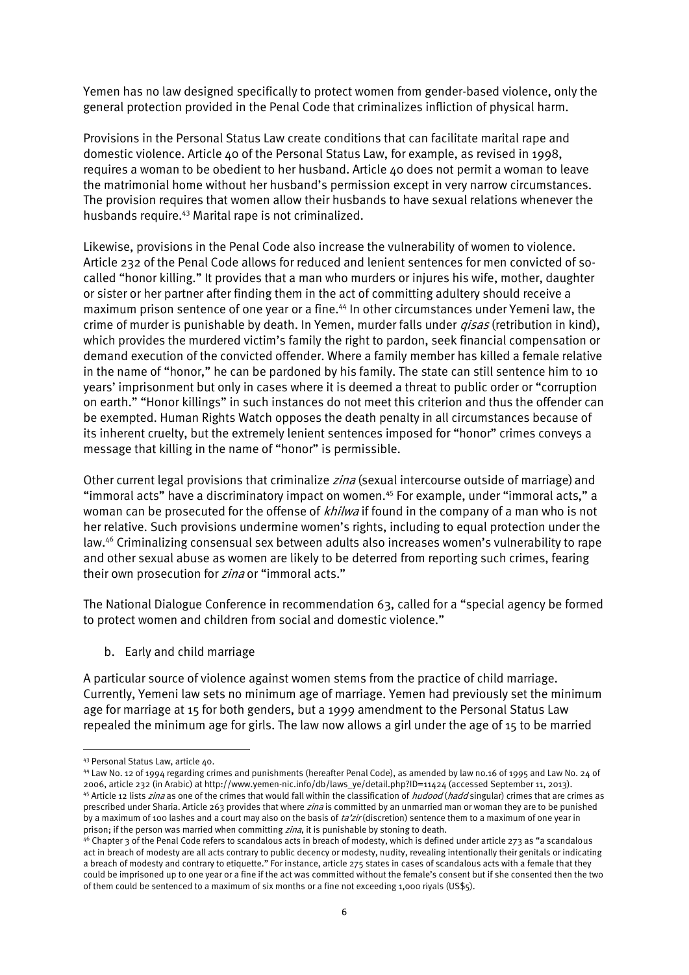Yemen has no law designed specifically to protect women from gender-based violence, only the general protection provided in the Penal Code that criminalizes infliction of physical harm.

Provisions in the Personal Status Law create conditions that can facilitate marital rape and domestic violence. Article 40 of the Personal Status Law, for example, as revised in 1998, requires a woman to be obedient to her husband. Article 40 does not permit a woman to leave the matrimonial home without her husband's permission except in very narrow circumstances. The provision requires that women allow their husbands to have sexual relations whenever the husbands require.<sup>43</sup> Marital rape is not criminalized.

Likewise, provisions in the Penal Code also increase the vulnerability of women to violence. Article 232 of the Penal Code allows for reduced and lenient sentences for men convicted of socalled "honor killing." It provides that a man who murders or injures his wife, mother, daughter or sister or her partner after finding them in the act of committing adultery should receive a maximum prison sentence of one year or a fine.<sup>44</sup> In other circumstances under Yemeni law, the crime of murder is punishable by death. In Yemen, murder falls under *qisas* (retribution in kind), which provides the murdered victim's family the right to pardon, seek financial compensation or demand execution of the convicted offender. Where a family member has killed a female relative in the name of "honor," he can be pardoned by his family. The state can still sentence him to 10 years' imprisonment but only in cases where it is deemed a threat to public order or "corruption on earth." "Honor killings" in such instances do not meet this criterion and thus the offender can be exempted. Human Rights Watch opposes the death penalty in all circumstances because of its inherent cruelty, but the extremely lenient sentences imposed for "honor" crimes conveys a message that killing in the name of "honor" is permissible.

Other current legal provisions that criminalize *zina* (sexual intercourse outside of marriage) and "immoral acts" have a discriminatory impact on women.<sup>45</sup> For example, under "immoral acts," a woman can be prosecuted for the offense of khilwa if found in the company of a man who is not her relative. Such provisions undermine women's rights, including to equal protection under the law.<sup>46</sup> Criminalizing consensual sex between adults also increases women's vulnerability to rape and other sexual abuse as women are likely to be deterred from reporting such crimes, fearing their own prosecution for zina or "immoral acts."

The National Dialogue Conference in recommendation 63, called for a "special agency be formed to protect women and children from social and domestic violence."

b. Early and child marriage

A particular source of violence against women stems from the practice of child marriage. Currently, Yemeni law sets no minimum age of marriage. Yemen had previously set the minimum age for marriage at 15 for both genders, but a 1999 amendment to the Personal Status Law repealed the minimum age for girls. The law now allows a girl under the age of 15 to be married

<sup>43</sup> Personal Status Law, article 40.

<sup>44</sup> Law No. 12 of 1994 regarding crimes and punishments (hereafter Penal Code), as amended by law no.16 of 1995 and Law No. 24 of 2006, article 232 (in Arabic) at http://www.yemen-nic.info/db/laws\_ye/detail.php?ID=11424 (accessed September 11, 2013). <sup>45</sup> Article 12 lists *zina* as one of the crimes that would fall within the classification of *hudood (hadd* singular) crimes that are crimes as prescribed under Sharia. Article 263 provides that where *zina* is committed by an unmarried man or woman they are to be punished by a maximum of 100 lashes and a court may also on the basis of ta'zir (discretion) sentence them to a maximum of one year in prison; if the person was married when committing *zina*, it is punishable by stoning to death.

 $46$  Chapter 3 of the Penal Code refers to scandalous acts in breach of modesty, which is defined under article 273 as "a scandalous act in breach of modesty are all acts contrary to public decency or modesty, nudity, revealing intentionally their genitals or indicating a breach of modesty and contrary to etiquette." For instance, article 275 states in cases of scandalous acts with a female that they could be imprisoned up to one year or a fine if the act was committed without the female's consent but if she consented then the two of them could be sentenced to a maximum of six months or a fine not exceeding 1,000 riyals (US\$5).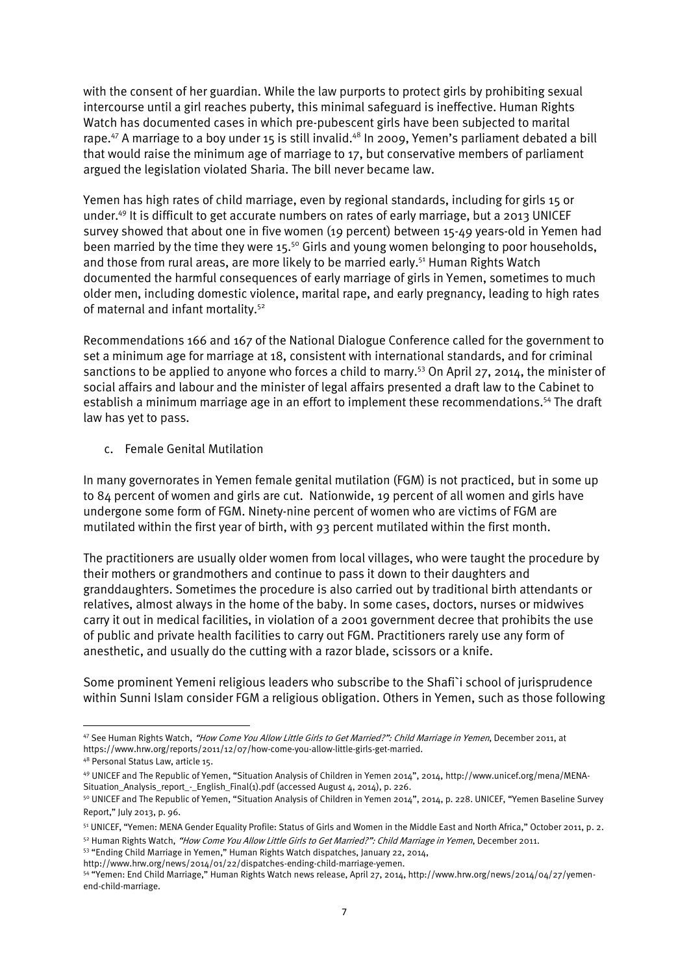with the consent of her guardian. While the law purports to protect girls by prohibiting sexual intercourse until a girl reaches puberty, this minimal safeguard is ineffective. Human Rights Watch has documented cases in which pre-pubescent girls have been subjected to marital rape.<sup>47</sup> A marriage to a boy under 15 is still invalid.<sup>48</sup> In 2009, Yemen's parliament debated a bill that would raise the minimum age of marriage to 17, but conservative members of parliament argued the legislation violated Sharia. The bill never became law.

Yemen has high rates of child marriage, even by regional standards, including for girls 15 or under.<sup>49</sup> It is difficult to get accurate numbers on rates of early marriage, but a 2013 UNICEF survey showed that about one in five women (19 percent) between 15-49 years-old in Yemen had been married by the time they were 15.<sup>50</sup> Girls and young women belonging to poor households, and those from rural areas, are more likely to be married early.<sup>51</sup> Human Rights Watch documented the harmful consequences of early marriage of girls in Yemen, sometimes to much older men, including domestic violence, marital rape, and early pregnancy, leading to high rates of maternal and infant mortality.<sup>52</sup>

Recommendations 166 and 167 of the National Dialogue Conference called for the government to set a minimum age for marriage at 18, consistent with international standards, and for criminal sanctions to be applied to anyone who forces a child to marry.<sup>53</sup> On April 27, 2014, the minister of social affairs and labour and the minister of legal affairs presented a draft law to the Cabinet to establish a minimum marriage age in an effort to implement these recommendations.<sup>54</sup> The draft law has yet to pass.

c. Female Genital Mutilation

In many governorates in Yemen female genital mutilation (FGM) is not practiced, but in some up to 84 percent of women and girls are cut. Nationwide, 19 percent of all women and girls have undergone some form of FGM. Ninety-nine percent of women who are victims of FGM are mutilated within the first year of birth, with 93 percent mutilated within the first month.

The practitioners are usually older women from local villages, who were taught the procedure by their mothers or grandmothers and continue to pass it down to their daughters and granddaughters. Sometimes the procedure is also carried out by traditional birth attendants or relatives, almost always in the home of the baby. In some cases, doctors, nurses or midwives carry it out in medical facilities, in violation of a 2001 government decree that prohibits the use of public and private health facilities to carry out FGM. Practitioners rarely use any form of anesthetic, and usually do the cutting with a razor blade, scissors or a knife.

Some prominent Yemeni religious leaders who subscribe to the Shafi`i school of jurisprudence within Sunni Islam consider FGM a religious obligation. Others in Yemen, such as those following

<sup>47</sup> See Human Rights Watch, "How Come You Allow Little Girls to Get Married?": Child Marriage in Yemen, December 2011, at https://www.hrw.org/reports/2011/12/07/how-come-you-allow-little-girls-get-married.

<sup>48</sup> Personal Status Law, article 15.

<sup>49</sup> UNICEF and The Republic of Yemen, "Situation Analysis of Children in Yemen 2014", 2014, [http://www.unicef.org/mena/MENA-](http://www.unicef.org/mena/MENA-Situation_Analysis_report_-_English_Final(1).pdf)[Situation\\_Analysis\\_report\\_-\\_English\\_Final\(1\).pdf](http://www.unicef.org/mena/MENA-Situation_Analysis_report_-_English_Final(1).pdf) (accessed August 4, 2014), p. 226.

<sup>&</sup>lt;sup>50</sup> UNICEF and The Republic of Yemen, "Situation Analysis of Children in Yemen 2014", 2014, p. 228. UNICEF, "Yemen Baseline Survey Report," July 2013, p. 96.

<sup>51</sup> UNICEF, "Yemen: MENA Gender Equality Profile: Status of Girls and Women in the Middle East and North Africa," October 2011, p. 2.

<sup>52</sup> Human Rights Watch, "How Come You Allow Little Girls to Get Married?": Child Marriage in Yemen, December 2011.

<sup>53</sup> "Ending Child Marriage in Yemen," Human Rights Watch dispatches, January 22, 2014,

http://www.hrw.org/news/2014/01/22/dispatches-ending-child-marriage-yemen.

<sup>54</sup> "Yemen: End Child Marriage," Human Rights Watch news release, April 27, 2014, http://www.hrw.org/news/2014/04/27/yemenend-child-marriage.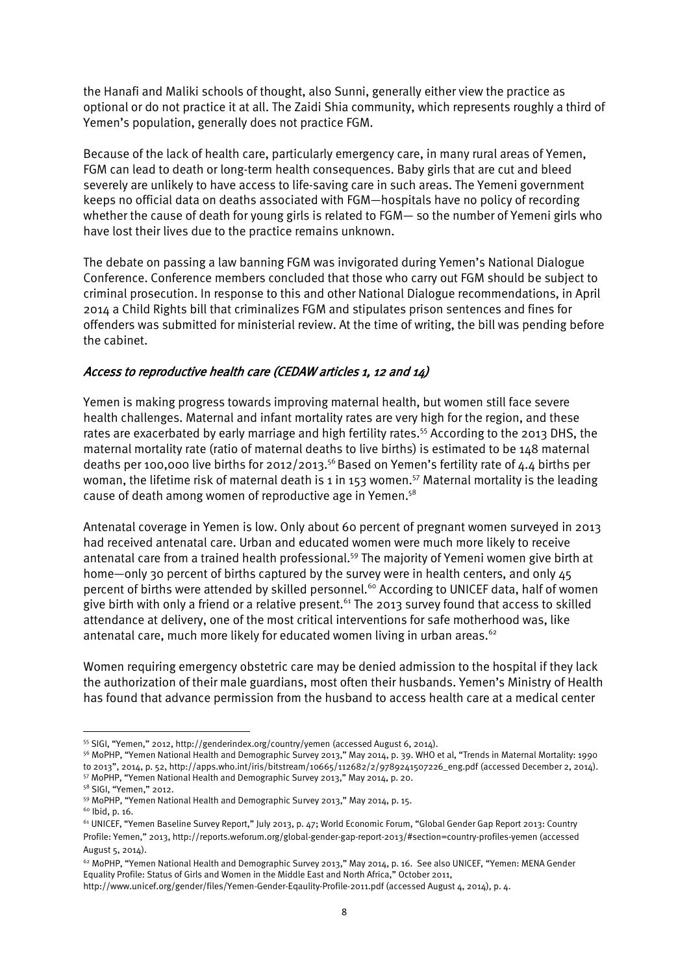the Hanafi and Maliki schools of thought, also Sunni, generally either view the practice as optional or do not practice it at all. The Zaidi Shia community, which represents roughly a third of Yemen's population, generally does not practice FGM.

Because of the lack of health care, particularly emergency care, in many rural areas of Yemen, FGM can lead to death or long-term health consequences. Baby girls that are cut and bleed severely are unlikely to have access to life-saving care in such areas. The Yemeni government keeps no official data on deaths associated with FGM—hospitals have no policy of recording whether the cause of death for young girls is related to FGM— so the number of Yemeni girls who have lost their lives due to the practice remains unknown.

The debate on passing a law banning FGM was invigorated during Yemen's National Dialogue Conference. Conference members concluded that those who carry out FGM should be subject to criminal prosecution. In response to this and other National Dialogue recommendations, in April 2014 a Child Rights bill that criminalizes FGM and stipulates prison sentences and fines for offenders was submitted for ministerial review. At the time of writing, the bill was pending before the cabinet.

# Access to reproductive health care (CEDAW articles 1, 12 and 14)

Yemen is making progress towards improving maternal health, but women still face severe health challenges. Maternal and infant mortality rates are very high for the region, and these rates are exacerbated by early marriage and high fertility rates.<sup>55</sup> According to the 2013 DHS, the maternal mortality rate (ratio of maternal deaths to live births) is estimated to be 148 maternal deaths per 100,000 live births for 2012/2013.<sup>56</sup> Based on Yemen's fertility rate of  $4.4$  births per woman, the lifetime risk of maternal death is 1 in 153 women.<sup>57</sup> Maternal mortality is the leading cause of death among women of reproductive age in Yemen. 58

Antenatal coverage in Yemen is low. Only about 60 percent of pregnant women surveyed in 2013 had received antenatal care. Urban and educated women were much more likely to receive antenatal care from a trained health professional.<sup>59</sup> The majority of Yemeni women give birth at home—only 30 percent of births captured by the survey were in health centers, and only 45 percent of births were attended by skilled personnel.<sup>60</sup> According to UNICEF data, half of women give birth with only a friend or a relative present.<sup>61</sup> The 2013 survey found that access to skilled attendance at delivery, one of the most critical interventions for safe motherhood was, like antenatal care, much more likely for educated women living in urban areas.  $62$ 

Women requiring emergency obstetric care may be denied admission to the hospital if they lack the authorization of their male guardians, most often their husbands. Yemen's Ministry of Health has found that advance permission from the husband to access health care at a medical center

<sup>1</sup> <sup>55</sup> SIGI, "Yemen," 2012, http://genderindex.org/country/yemen (accessed August 6, 2014).

<sup>56</sup> MoPHP, "Yemen National Health and Demographic Survey 2013," May 2014, p. 39. WHO et al, "Trends in Maternal Mortality: 1990 to 2013", 2014, p. 52, http://apps.who.int/iris/bitstream/10665/112682/2/9789241507226\_eng.pdf (accessed December 2, 2014). <sup>57</sup> MoPHP, "Yemen National Health and Demographic Survey 2013," May 2014, p. 20.

<sup>58</sup> SIGI, "Yemen," 2012.

<sup>59</sup> MoPHP, "Yemen National Health and Demographic Survey 2013," May 2014, p. 15.

 $60$  lbid, p. 16.

<sup>61</sup> UNICEF, "Yemen Baseline Survey Report," July 2013, p. 47; World Economic Forum, "Global Gender Gap Report 2013: Country Profile: Yemen," 2013, http://reports.weforum.org/global-gender-gap-report-2013/#section=country-profiles-yemen (accessed August 5, 2014).

<sup>62</sup> MoPHP, "Yemen National Health and Demographic Survey 2013," May 2014, p. 16. See also UNICEF, "Yemen: MENA Gender Equality Profile: Status of Girls and Women in the Middle East and North Africa," October 2011,

http://www.unicef.org/gender/files/Yemen-Gender-Eqaulity-Profile-2011.pdf (accessed August 4, 2014), p. 4.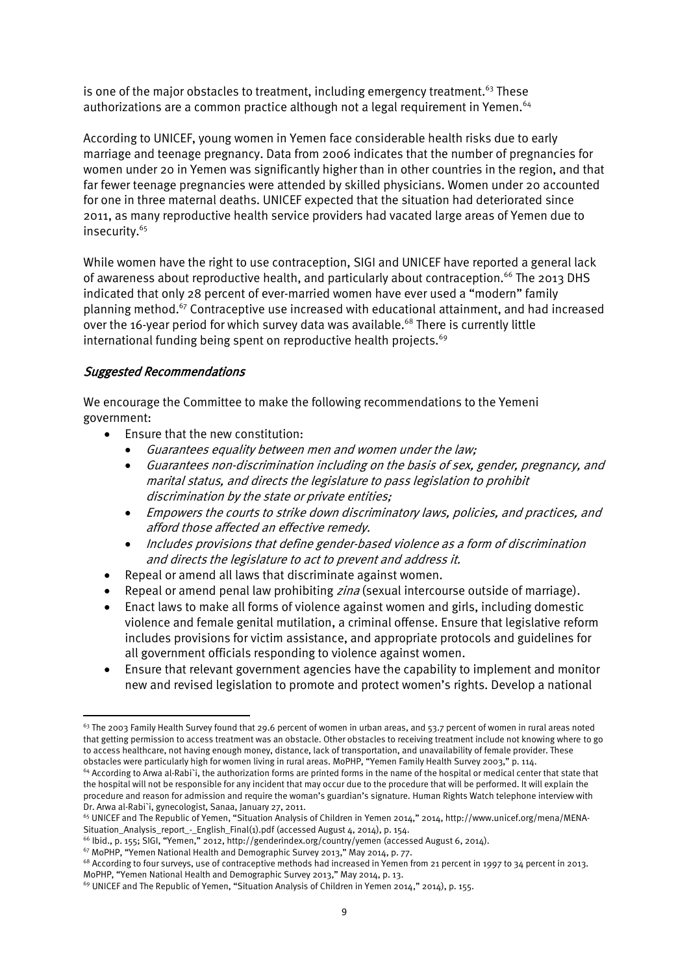is one of the major obstacles to treatment, including emergency treatment.<sup>63</sup> These authorizations are a common practice although not a legal requirement in Yemen.<sup>64</sup>

According to UNICEF, young women in Yemen face considerable health risks due to early marriage and teenage pregnancy. Data from 2006 indicates that the number of pregnancies for women under 20 in Yemen was significantly higher than in other countries in the region, and that far fewer teenage pregnancies were attended by skilled physicians. Women under 20 accounted for one in three maternal deaths. UNICEF expected that the situation had deteriorated since 2011, as many reproductive health service providers had vacated large areas of Yemen due to insecurity.<sup>65</sup>

While women have the right to use contraception, SIGI and UNICEF have reported a general lack of awareness about reproductive health, and particularly about contraception.<sup>66</sup> The 2013 DHS indicated that only 28 percent of ever-married women have ever used a "modern" family planning method.<sup>67</sup> Contraceptive use increased with educational attainment, and had increased over the 16-year period for which survey data was available.<sup>68</sup> There is currently little international funding being spent on reproductive health projects.<sup>69</sup>

### Suggested Recommendations

 $\overline{a}$ 

We encourage the Committee to make the following recommendations to the Yemeni government:

- Ensure that the new constitution:
	- Guarantees equality between men and women under the law;
	- Guarantees non-discrimination including on the basis of sex, gender, pregnancy, and marital status, and directs the legislature to pass legislation to prohibit discrimination by the state or private entities;
	- Empowers the courts to strike down discriminatory laws, policies, and practices, and afford those affected an effective remedy.
	- Includes provisions that define gender-based violence as a form of discrimination and directs the legislature to act to prevent and address it.
- Repeal or amend all laws that discriminate against women.
- Repeal or amend penal law prohibiting zina (sexual intercourse outside of marriage).
- Enact laws to make all forms of violence against women and girls, including domestic violence and female genital mutilation, a criminal offense. Ensure that legislative reform includes provisions for victim assistance, and appropriate protocols and guidelines for all government officials responding to violence against women.
- Ensure that relevant government agencies have the capability to implement and monitor new and revised legislation to promote and protect women's rights. Develop a national

 $63$  The 2003 Family Health Survey found that 29.6 percent of women in urban areas, and 53.7 percent of women in rural areas noted that getting permission to access treatment was an obstacle. Other obstacles to receiving treatment include not knowing where to go to access healthcare, not having enough money, distance, lack of transportation, and unavailability of female provider. These obstacles were particularly high for women living in rural areas. MoPHP, "Yemen Family Health Survey 2003," p. 114.

<sup>&</sup>lt;sup>64</sup> According to Arwa al-Rabi`i, the authorization forms are printed forms in the name of the hospital or medical center that state that the hospital will not be responsible for any incident that may occur due to the procedure that will be performed. It will explain the procedure and reason for admission and require the woman's guardian's signature. Human Rights Watch telephone interview with Dr. Arwa al-Rabi`i, gynecologist, Sanaa, January 27, 2011.

<sup>65</sup> UNICEF and The Republic of Yemen, "Situation Analysis of Children in Yemen 2014," 2014, [http://www.unicef.org/mena/MENA-](http://www.unicef.org/mena/MENA-Situation_Analysis_report_-_English_Final(1).pdf)[Situation\\_Analysis\\_report\\_-\\_English\\_Final\(1\).pdf](http://www.unicef.org/mena/MENA-Situation_Analysis_report_-_English_Final(1).pdf) (accessed August 4, 2014), p. 154.

<sup>66</sup> Ibid., p. 155; SIGI, "Yemen," 2012, http://genderindex.org/country/yemen (accessed August 6, 2014).

<sup>67</sup> MoPHP, "Yemen National Health and Demographic Survey 2013," May 2014, p. 77.

<sup>&</sup>lt;sup>68</sup> According to four surveys, use of contraceptive methods had increased in Yemen from 21 percent in 1997 to 34 percent in 2013. MoPHP, "Yemen National Health and Demographic Survey 2013," May 2014, p. 13.

<sup>69</sup> UNICEF and The Republic of Yemen, "Situation Analysis of Children in Yemen 2014," 2014), p. 155.